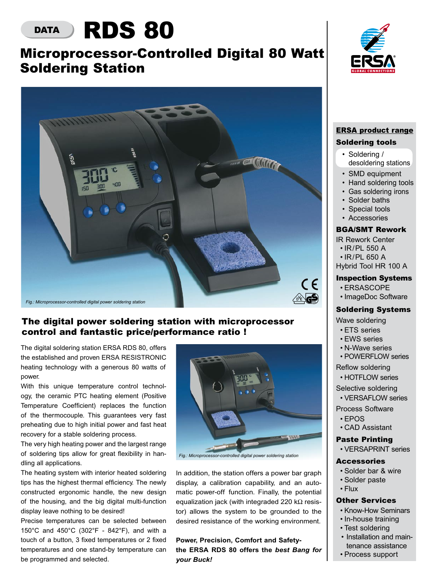# DATA **RDS 80**

## Microprocessor-Controlled Digital 80 Watt Soldering Station



## The digital power soldering station with microprocessor control and fantastic price/performance ratio !

The digital soldering station ERSA RDS 80, offers the established and proven ERSA RESISTRONIC heating technology with a generous 80 watts of power.

With this unique temperature control technology, the ceramic PTC heating element (Positive Temperature Coefficient) replaces the function of the thermocouple. This guarantees very fast preheating due to high initial power and fast heat recovery for a stable soldering process.

The very high heating power and the largest range of soldering tips allow for great flexibility in handling all applications.

The heating system with interior heated soldering tips has the highest thermal efficiency. The newly constructed ergonomic handle, the new design of the housing, and the big digital multi-function display leave nothing to be desired!

Precise temperatures can be selected between 150°C and 450°C (302°F - 842°F), and with a touch of a button, 3 fixed temperatures or 2 fixed temperatures and one stand-by temperature can be programmed and selected.



*Fig.: Microprocessor-controlled digital power soldering station*

In addition, the station offers a power bar graph display, a calibration capability, and an automatic power-off function. Finally, the potential equalization jack (with integraded 220 kΩ resistor) allows the system to be grounded to the desired resistance of the working environment.

**Power, Precision, Comfort and Safetythe ERSA RDS 80 offers the** *best Bang for your Buck!*



### ERSA product range Soldering tools

- Soldering /
- desoldering stations
- SMD equipment
- Hand soldering tools
- Gas soldering irons
- Solder baths
- Special tools
- Accessories

#### BGA/SMT Rework

- IR Rework Center
- • IR/PL 550 A
- • IR/PL 650 A Hybrid Tool HR 100 A

#### Inspection Systems

- • ERSASCOPE
- • ImageDoc Software

#### Soldering Systems

Wave soldering

- • ETS series
- EWS series
- • N-Wave series
- POWERFLOW series
- Reflow soldering
- HOTFLOW series

Selective soldering

• VERSAFLOW series

Process Software

- • EPOS
- • CAD Assistant

#### Paste Printing

 • VERSAPRINT series

#### **Accessories**

- • Solder bar & wire
- • Solder paste
- • Flux

#### Other Services

- Know-How Seminars
- In-house training
- Test soldering
- Installation and maintenance assistance
- • Process support